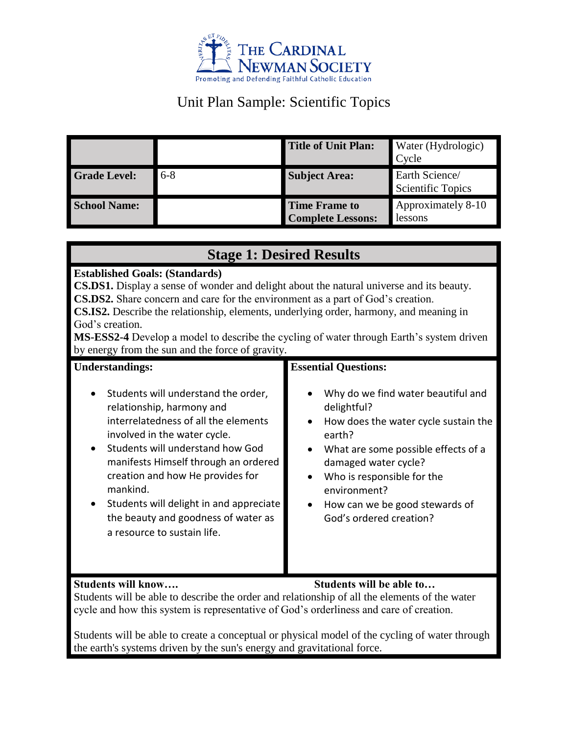

# Unit Plan Sample: Scientific Topics

|                     |       | <b>Title of Unit Plan:</b>                       | Water (Hydrologic)<br>Cycle                |
|---------------------|-------|--------------------------------------------------|--------------------------------------------|
| <b>Grade Level:</b> | $6-8$ | <b>Subject Area:</b>                             | Earth Science/<br><b>Scientific Topics</b> |
| <b>School Name:</b> |       | <b>Time Frame to</b><br><b>Complete Lessons:</b> | Approximately 8-10<br>lessons              |

### **Stage 1: Desired Results**

#### **Established Goals: (Standards)**

**CS.DS1.** Display a sense of wonder and delight about the natural universe and its beauty. **CS.DS2.** Share concern and care for the environment as a part of God's creation.

**CS.IS2.** Describe the relationship, elements, underlying order, harmony, and meaning in God's creation.

**MS-ESS2-4** Develop a model to describe the cycling of water through Earth's system driven by energy from the sun and the force of gravity.

| <b>Understandings:</b>                  | <b>Essential Questions:</b>          |  |
|-----------------------------------------|--------------------------------------|--|
| Students will understand the order,     | Why do we find water beautiful and   |  |
| $\bullet$                               | delightful?                          |  |
| relationship, harmony and               | How does the water cycle sustain the |  |
| interrelatedness of all the elements    | $\bullet$                            |  |
| involved in the water cycle.            | earth?                               |  |
| Students will understand how God        | What are some possible effects of a  |  |
| $\bullet$                               | $\bullet$                            |  |
| manifests Himself through an ordered    | damaged water cycle?                 |  |
| creation and how He provides for        | Who is responsible for the           |  |
| mankind.                                | $\bullet$                            |  |
| Students will delight in and appreciate | environment?                         |  |
| $\bullet$                               | How can we be good stewards of       |  |
| the beauty and goodness of water as     | $\bullet$                            |  |
| a resource to sustain life.             | God's ordered creation?              |  |

#### **Students will know…. Students will be able to…**

Students will be able to describe the order and relationship of all the elements of the water cycle and how this system is representative of God's orderliness and care of creation.

Students will be able to create a conceptual or physical model of the cycling of water through the earth's systems driven by the sun's energy and gravitational force.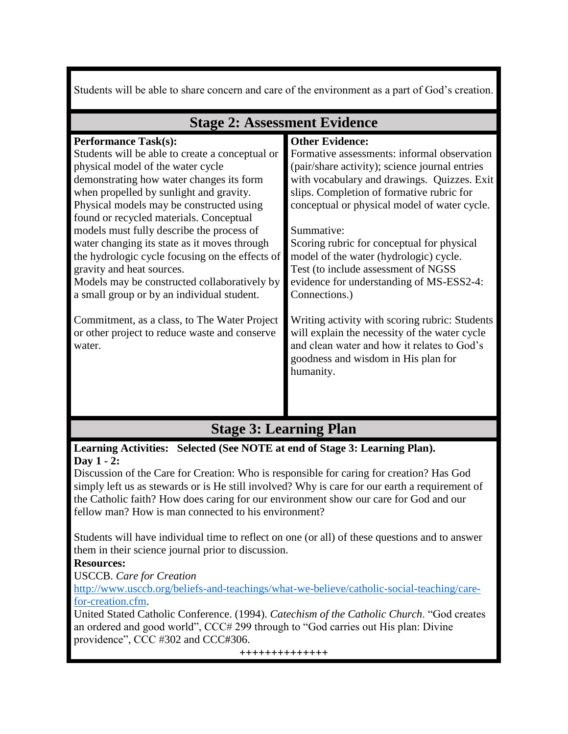Students will be able to share concern and care of the environment as a part of God's creation.

| $\beta$ tage $\mu$ . Assessment Evidence        |                                                |  |  |  |
|-------------------------------------------------|------------------------------------------------|--|--|--|
| <b>Performance Task(s):</b>                     | <b>Other Evidence:</b>                         |  |  |  |
| Students will be able to create a conceptual or | Formative assessments: informal observation    |  |  |  |
| physical model of the water cycle               | (pair/share activity); science journal entries |  |  |  |
| demonstrating how water changes its form        | with vocabulary and drawings. Quizzes. Exit    |  |  |  |
| when propelled by sunlight and gravity.         | slips. Completion of formative rubric for      |  |  |  |
| Physical models may be constructed using        | conceptual or physical model of water cycle.   |  |  |  |
| found or recycled materials. Conceptual         |                                                |  |  |  |
| models must fully describe the process of       | Summative:                                     |  |  |  |
| water changing its state as it moves through    | Scoring rubric for conceptual for physical     |  |  |  |
| the hydrologic cycle focusing on the effects of | model of the water (hydrologic) cycle.         |  |  |  |
| gravity and heat sources.                       | Test (to include assessment of NGSS            |  |  |  |
| Models may be constructed collaboratively by    | evidence for understanding of MS-ESS2-4:       |  |  |  |
| a small group or by an individual student.      | Connections.)                                  |  |  |  |
|                                                 |                                                |  |  |  |
| Commitment, as a class, to The Water Project    | Writing activity with scoring rubric: Students |  |  |  |
| or other project to reduce waste and conserve   | will explain the necessity of the water cycle  |  |  |  |
| water.                                          | and clean water and how it relates to God's    |  |  |  |
|                                                 | goodness and wisdom in His plan for            |  |  |  |
|                                                 | humanity.                                      |  |  |  |
|                                                 |                                                |  |  |  |
|                                                 |                                                |  |  |  |
|                                                 |                                                |  |  |  |

### Stage 2: Assessment Evidence

# **Stage 3: Learning Plan**

#### **Learning Activities: Selected (See NOTE at end of Stage 3: Learning Plan). Day 1 - 2:**

Discussion of the Care for Creation: Who is responsible for caring for creation? Has God simply left us as stewards or is He still involved? Why is care for our earth a requirement of the Catholic faith? How does caring for our environment show our care for God and our fellow man? How is man connected to his environment?

Students will have individual time to reflect on one (or all) of these questions and to answer them in their science journal prior to discussion.

### **Resources:**

USCCB. *Care for Creation*

[http://www.usccb.org/beliefs-and-teachings/what-we-believe/catholic-social-teaching/care](http://www.usccb.org/beliefs-and-teachings/what-we-believe/catholic-social-teaching/care-for-creation.cfm)[for-creation.cfm.](http://www.usccb.org/beliefs-and-teachings/what-we-believe/catholic-social-teaching/care-for-creation.cfm)

United Stated Catholic Conference. (1994). *Catechism of the Catholic Church*. "God creates an ordered and good world", CCC# 299 through to "God carries out His plan: Divine providence", CCC #302 and CCC#306.

**++++++++++++++**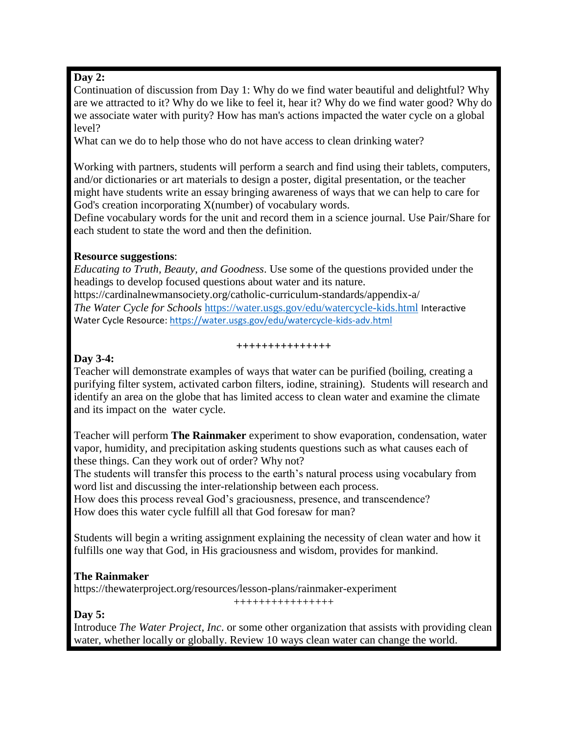#### **Day 2:**

Continuation of discussion from Day 1: Why do we find water beautiful and delightful? Why are we attracted to it? Why do we like to feel it, hear it? Why do we find water good? Why do we associate water with purity? How has man's actions impacted the water cycle on a global level?

What can we do to help those who do not have access to clean drinking water?

Working with partners, students will perform a search and find using their tablets, computers, and/or dictionaries or art materials to design a poster, digital presentation, or the teacher might have students write an essay bringing awareness of ways that we can help to care for God's creation incorporating X(number) of vocabulary words.

Define vocabulary words for the unit and record them in a science journal. Use Pair/Share for each student to state the word and then the definition.

#### **Resource suggestions**:

*Educating to Truth, Beauty, and Goodness*. Use some of the questions provided under the headings to develop focused questions about water and its nature. https://cardinalnewmansociety.org/catholic-curriculum-standards/appendix-a/ *The Water Cycle for Schools* <https://water.usgs.gov/edu/watercycle-kids.html> Interactive

Water Cycle Resource:<https://water.usgs.gov/edu/watercycle-kids-adv.html>

# **+++++++++++++++**

#### **Day 3-4:**

Teacher will demonstrate examples of ways that water can be purified (boiling, creating a purifying filter system, activated carbon filters, iodine, straining). Students will research and identify an area on the globe that has limited access to clean water and examine the climate and its impact on the water cycle.

Teacher will perform **The Rainmaker** experiment to show evaporation, condensation, water vapor, humidity, and precipitation asking students questions such as what causes each of these things. Can they work out of order? Why not?

The students will transfer this process to the earth's natural process using vocabulary from word list and discussing the inter-relationship between each process.

How does this process reveal God's graciousness, presence, and transcendence? How does this water cycle fulfill all that God foresaw for man?

Students will begin a writing assignment explaining the necessity of clean water and how it fulfills one way that God, in His graciousness and wisdom, provides for mankind.

#### **The Rainmaker**

<https://thewaterproject.org/resources/lesson-plans/rainmaker-experiment>

++++++++++++++++

#### **Day 5:**

Introduce *The Water Project, Inc*. or some other organization that assists with providing clean water, whether locally or globally. Review 10 ways clean water can change the world.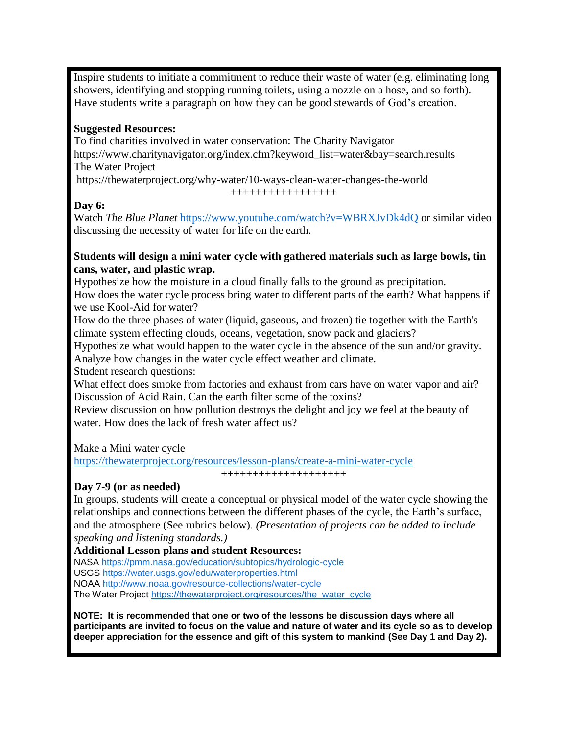Inspire students to initiate a commitment to reduce their waste of water (e.g. eliminating long showers, identifying and stopping running toilets, using a nozzle on a hose, and so forth). Have students write a paragraph on how they can be good stewards of God's creation.

#### **Suggested Resources:**

To find charities involved in water conservation: The Charity Navigator https://www.charitynavigator.org/index.cfm?keyword\_list=water&bay=search.results The Water Project

https://thewaterproject.org/why-water/10-ways-clean-water-changes-the-world

+++++++++++++++++

#### **Day 6:**

Watch *The Blue Planet* <https://www.youtube.com/watch?v=WBRXJvDk4dQ> or similar video discussing the necessity of water for life on the earth.

#### **Students will design a mini water cycle with gathered materials such as large bowls, tin cans, water, and plastic wrap.**

Hypothesize how the moisture in a cloud finally falls to the ground as precipitation.

How does the water cycle process bring water to different parts of the earth? What happens if we use Kool-Aid for water?

How do the three phases of water (liquid, gaseous, and frozen) tie together with the Earth's climate system effecting clouds, oceans, vegetation, snow pack and glaciers?

Hypothesize what would happen to the water cycle in the absence of the sun and/or gravity. Analyze how changes in the water cycle effect weather and climate.

Student research questions:

What effect does smoke from factories and exhaust from cars have on water vapor and air? Discussion of Acid Rain. Can the earth filter some of the toxins?

Review discussion on how pollution destroys the delight and joy we feel at the beauty of water. How does the lack of fresh water affect us?

Make a Mini water cycle

<https://thewaterproject.org/resources/lesson-plans/create-a-mini-water-cycle>

++++++++++++++++++++

#### **Day 7-9 (or as needed)**

In groups, students will create a conceptual or physical model of the water cycle showing the relationships and connections between the different phases of the cycle, the Earth's surface, and the atmosphere (See rubrics below). *(Presentation of projects can be added to include speaking and listening standards.)*

**Additional Lesson plans and student Resources:** NASA https://pmm.nasa.gov/education/subtopics/hydrologic-cycle USGS https://water.usgs.gov/edu/waterproperties.html NOAA http://www.noaa.gov/resource-collections/water-cycle The Water Project [https://thewaterproject.org/resources/the\\_water\\_cycle](https://thewaterproject.org/resources/the_water_cycle)

**NOTE: It is recommended that one or two of the lessons be discussion days where all participants are invited to focus on the value and nature of water and its cycle so as to develop deeper appreciation for the essence and gift of this system to mankind (See Day 1 and Day 2).**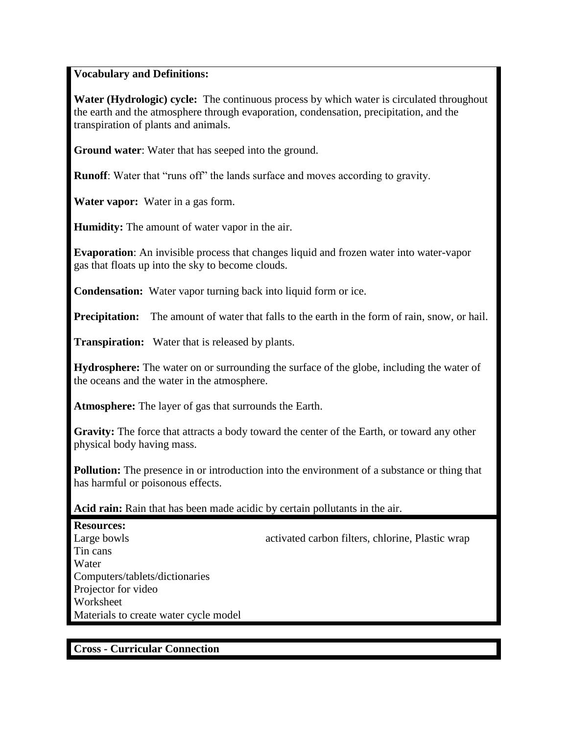#### **Vocabulary and Definitions:**

**Water (Hydrologic) cycle:** The continuous process by which water is circulated throughout the earth and the atmosphere through evaporation, condensation, precipitation, and the transpiration of plants and animals.

**Ground water**: Water that has seeped into the ground.

**Runoff**: Water that "runs off" the lands surface and moves according to gravity.

**Water vapor:** Water in a gas form.

**Humidity:** The amount of water vapor in the air.

**Evaporation**: An invisible process that changes liquid and frozen water into water-vapor gas that floats up into the sky to become clouds.

**Condensation:** Water vapor turning back into liquid form or ice.

**Precipitation:** The amount of water that falls to the earth in the form of rain, snow, or hail.

**Transpiration:** Water that is released by plants.

**Hydrosphere:** The water on or surrounding the surface of the globe, including the water of the oceans and the water in the atmosphere.

**Atmosphere:** The layer of gas that surrounds the Earth.

**Gravity:** The force that attracts a body toward the center of the Earth, or toward any other physical body having mass.

**Pollution:** The presence in or introduction into the environment of a substance or thing that has harmful or poisonous effects.

#### **Acid rain:** Rain that has been made acidic by certain pollutants in the air.

**Resources:** Large bowls activated carbon filters, chlorine, Plastic wrap Tin cans **Water** Computers/tablets/dictionaries Projector for video **Worksheet** Materials to create water cycle model

#### **Cross - Curricular Connection**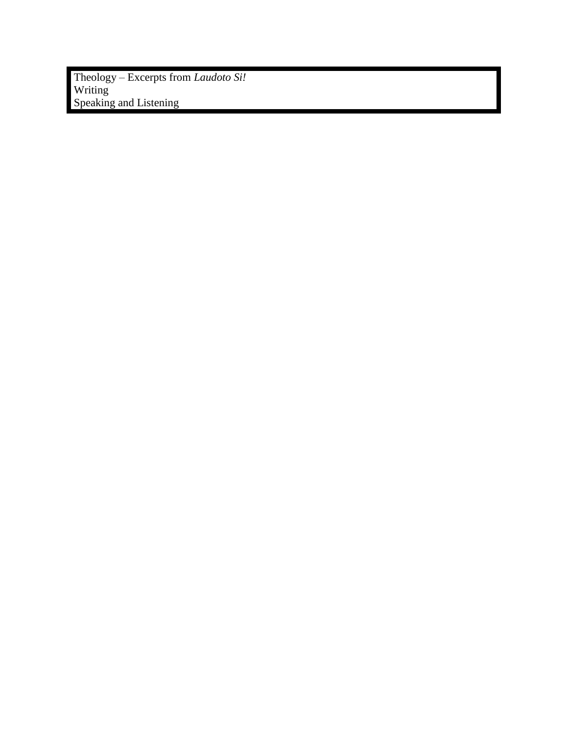Theology – Excerpts from *Laudoto Si!* Writing Speaking and Listening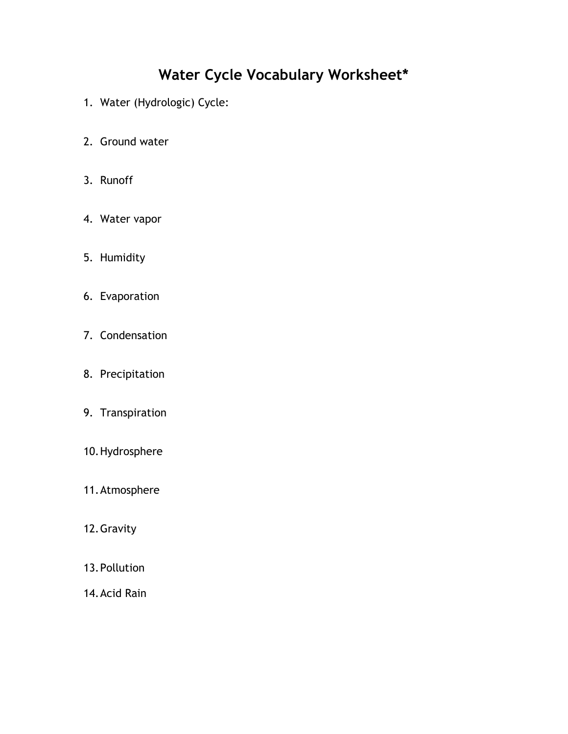# **Water Cycle Vocabulary Worksheet\***

- 1. Water (Hydrologic) Cycle:
- 2. Ground water
- 3. Runoff
- 4. Water vapor
- 5. Humidity
- 6. Evaporation
- 7. Condensation
- 8. Precipitation
- 9. Transpiration
- 10.Hydrosphere
- 11.Atmosphere
- 12.Gravity
- 13.Pollution
- 14.Acid Rain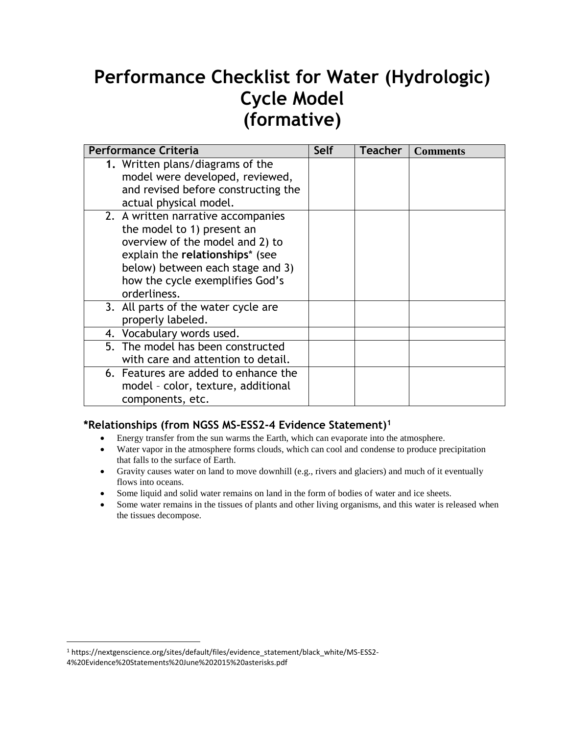# **Performance Checklist for Water (Hydrologic) Cycle Model (formative)**

| <b>Performance Criteria</b>                                                                                                                                                                                                   | Self | <b>Teacher</b> | <b>Comments</b> |
|-------------------------------------------------------------------------------------------------------------------------------------------------------------------------------------------------------------------------------|------|----------------|-----------------|
| 1. Written plans/diagrams of the<br>model were developed, reviewed,<br>and revised before constructing the<br>actual physical model.                                                                                          |      |                |                 |
| 2. A written narrative accompanies<br>the model to 1) present an<br>overview of the model and 2) to<br>explain the relationships* (see<br>below) between each stage and 3)<br>how the cycle exemplifies God's<br>orderliness. |      |                |                 |
| 3. All parts of the water cycle are<br>properly labeled.                                                                                                                                                                      |      |                |                 |
| 4. Vocabulary words used.                                                                                                                                                                                                     |      |                |                 |
| 5. The model has been constructed<br>with care and attention to detail.                                                                                                                                                       |      |                |                 |
| 6. Features are added to enhance the<br>model - color, texture, additional<br>components, etc.                                                                                                                                |      |                |                 |

#### **\*Relationships (from NGSS MS-ESS2-4 Evidence Statement)<sup>1</sup>**

- Energy transfer from the sun warms the Earth, which can evaporate into the atmosphere.
- Water vapor in the atmosphere forms clouds, which can cool and condense to produce precipitation that falls to the surface of Earth.
- Gravity causes water on land to move downhill (e.g., rivers and glaciers) and much of it eventually flows into oceans.
- Some liquid and solid water remains on land in the form of bodies of water and ice sheets.
- Some water remains in the tissues of plants and other living organisms, and this water is released when the tissues decompose.

 $\overline{a}$ 

<sup>1</sup> https://nextgenscience.org/sites/default/files/evidence\_statement/black\_white/MS-ESS2- 4%20Evidence%20Statements%20June%202015%20asterisks.pdf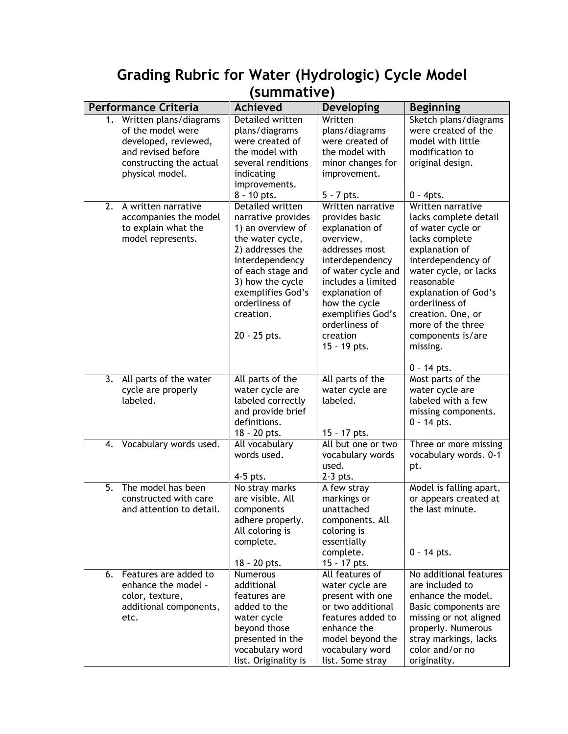| summative)                                                                                                                                    |                                                                                                                                                                                                                                     |                                                                                                                                                                                                                                                           |                                                                                                                                                                                                                                                                                       |  |  |  |
|-----------------------------------------------------------------------------------------------------------------------------------------------|-------------------------------------------------------------------------------------------------------------------------------------------------------------------------------------------------------------------------------------|-----------------------------------------------------------------------------------------------------------------------------------------------------------------------------------------------------------------------------------------------------------|---------------------------------------------------------------------------------------------------------------------------------------------------------------------------------------------------------------------------------------------------------------------------------------|--|--|--|
| <b>Performance Criteria</b>                                                                                                                   | <b>Achieved</b>                                                                                                                                                                                                                     | <b>Developing</b>                                                                                                                                                                                                                                         | <b>Beginning</b>                                                                                                                                                                                                                                                                      |  |  |  |
| Written plans/diagrams<br>1.<br>of the model were<br>developed, reviewed,<br>and revised before<br>constructing the actual<br>physical model. | Detailed written<br>plans/diagrams<br>were created of<br>the model with<br>several renditions<br>indicating<br>improvements.<br>8 - 10 pts.                                                                                         | Written<br>plans/diagrams<br>were created of<br>the model with<br>minor changes for<br>improvement.<br>$5 - 7$ pts.                                                                                                                                       | Sketch plans/diagrams<br>were created of the<br>model with little<br>modification to<br>original design.<br>$0 - 4pts.$                                                                                                                                                               |  |  |  |
| $\overline{2}$ .<br>A written narrative<br>accompanies the model<br>to explain what the<br>model represents.                                  | Detailed written<br>narrative provides<br>1) an overview of<br>the water cycle,<br>2) addresses the<br>interdependency<br>of each stage and<br>3) how the cycle<br>exemplifies God's<br>orderliness of<br>creation.<br>20 - 25 pts. | Written narrative<br>provides basic<br>explanation of<br>overview,<br>addresses most<br>interdependency<br>of water cycle and<br>includes a limited<br>explanation of<br>how the cycle<br>exemplifies God's<br>orderliness of<br>creation<br>15 - 19 pts. | Written narrative<br>lacks complete detail<br>of water cycle or<br>lacks complete<br>explanation of<br>interdependency of<br>water cycle, or lacks<br>reasonable<br>explanation of God's<br>orderliness of<br>creation. One, or<br>more of the three<br>components is/are<br>missing. |  |  |  |
|                                                                                                                                               |                                                                                                                                                                                                                                     |                                                                                                                                                                                                                                                           | $0 - 14$ pts.                                                                                                                                                                                                                                                                         |  |  |  |
| 3.<br>All parts of the water<br>cycle are properly<br>labeled.                                                                                | All parts of the<br>water cycle are<br>labeled correctly<br>and provide brief<br>definitions.<br>18 - 20 pts.                                                                                                                       | All parts of the<br>water cycle are<br>labeled.<br>15 - 17 pts.                                                                                                                                                                                           | Most parts of the<br>water cycle are<br>labeled with a few<br>missing components.<br>$0 - 14$ pts.                                                                                                                                                                                    |  |  |  |
| Vocabulary words used.<br>4.                                                                                                                  | All vocabulary<br>words used.<br>4-5 pts.                                                                                                                                                                                           | All but one or two<br>vocabulary words<br>used.<br>2-3 pts.                                                                                                                                                                                               | Three or more missing<br>vocabulary words. 0-1<br>pt.                                                                                                                                                                                                                                 |  |  |  |
| 5.<br>The model has been<br>constructed with care<br>and attention to detail.                                                                 | No stray marks<br>are visible. All<br>components<br>adhere properly.<br>All coloring is<br>complete.<br>18 - 20 pts.                                                                                                                | A few stray<br>markings or<br>unattached<br>components. All<br>coloring is<br>essentially<br>complete.<br>15 - 17 pts.                                                                                                                                    | Model is falling apart,<br>or appears created at<br>the last minute.<br>$0 - 14$ pts.                                                                                                                                                                                                 |  |  |  |
| Features are added to<br>6.<br>enhance the model -<br>color, texture,<br>additional components,<br>etc.                                       | <b>Numerous</b><br>additional<br>features are<br>added to the<br>water cycle<br>beyond those<br>presented in the<br>vocabulary word<br>list. Originality is                                                                         | All features of<br>water cycle are<br>present with one<br>or two additional<br>features added to<br>enhance the<br>model beyond the<br>vocabulary word<br>list. Some stray                                                                                | No additional features<br>are included to<br>enhance the model.<br>Basic components are<br>missing or not aligned<br>properly. Numerous<br>stray markings, lacks<br>color and/or no<br>originality.                                                                                   |  |  |  |

# **Grading Rubric for Water (Hydrologic) Cycle Model (summative)**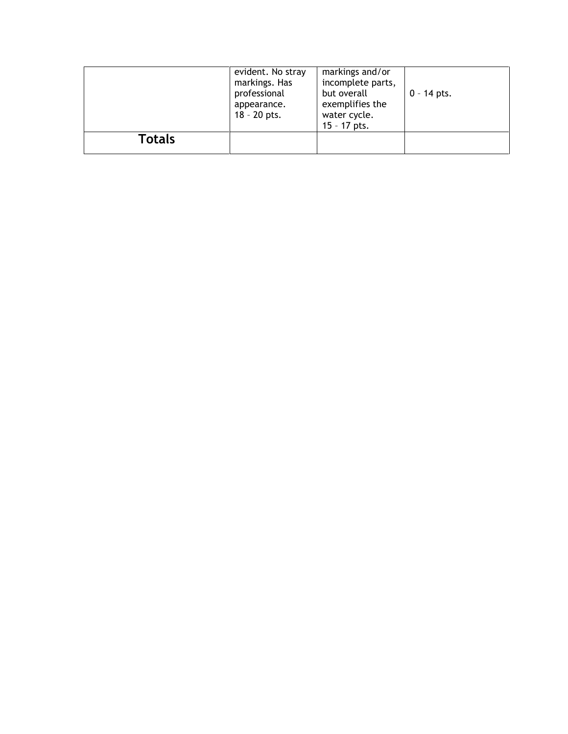|        | evident. No stray<br>markings. Has<br>professional<br>appearance.<br>$18 - 20$ pts. | markings and/or<br>incomplete parts,<br>but overall<br>exemplifies the<br>water cycle.<br>$15 - 17$ pts. | $0 - 14$ pts. |
|--------|-------------------------------------------------------------------------------------|----------------------------------------------------------------------------------------------------------|---------------|
| Totals |                                                                                     |                                                                                                          |               |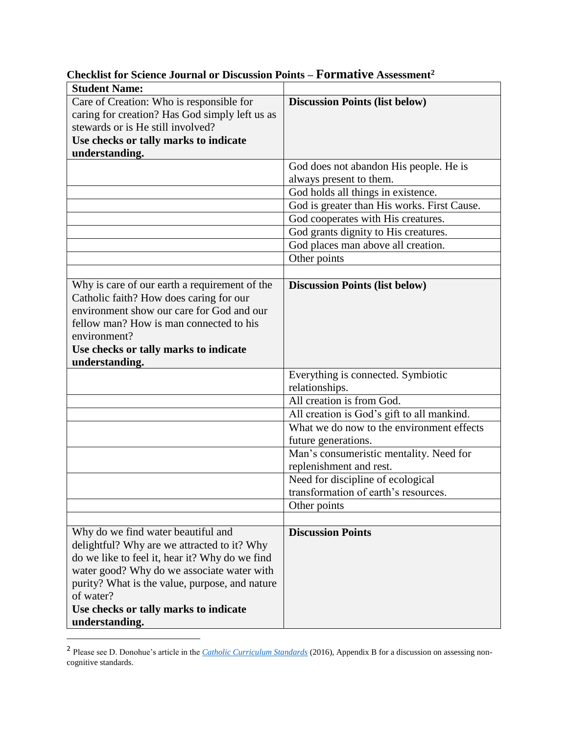| <b>Student Name:</b>                                                                                                                                                                                                                                                                      |                                             |
|-------------------------------------------------------------------------------------------------------------------------------------------------------------------------------------------------------------------------------------------------------------------------------------------|---------------------------------------------|
| Care of Creation: Who is responsible for                                                                                                                                                                                                                                                  | <b>Discussion Points (list below)</b>       |
| caring for creation? Has God simply left us as                                                                                                                                                                                                                                            |                                             |
| stewards or is He still involved?                                                                                                                                                                                                                                                         |                                             |
| Use checks or tally marks to indicate                                                                                                                                                                                                                                                     |                                             |
| understanding.                                                                                                                                                                                                                                                                            |                                             |
|                                                                                                                                                                                                                                                                                           | God does not abandon His people. He is      |
|                                                                                                                                                                                                                                                                                           | always present to them.                     |
|                                                                                                                                                                                                                                                                                           | God holds all things in existence.          |
|                                                                                                                                                                                                                                                                                           | God is greater than His works. First Cause. |
|                                                                                                                                                                                                                                                                                           | God cooperates with His creatures.          |
|                                                                                                                                                                                                                                                                                           | God grants dignity to His creatures.        |
|                                                                                                                                                                                                                                                                                           | God places man above all creation.          |
|                                                                                                                                                                                                                                                                                           | Other points                                |
|                                                                                                                                                                                                                                                                                           |                                             |
| Why is care of our earth a requirement of the<br>Catholic faith? How does caring for our<br>environment show our care for God and our<br>fellow man? How is man connected to his<br>environment?<br>Use checks or tally marks to indicate<br>understanding.                               | <b>Discussion Points (list below)</b>       |
|                                                                                                                                                                                                                                                                                           | Everything is connected. Symbiotic          |
|                                                                                                                                                                                                                                                                                           | relationships.                              |
|                                                                                                                                                                                                                                                                                           | All creation is from God.                   |
|                                                                                                                                                                                                                                                                                           | All creation is God's gift to all mankind.  |
|                                                                                                                                                                                                                                                                                           | What we do now to the environment effects   |
|                                                                                                                                                                                                                                                                                           | future generations.                         |
|                                                                                                                                                                                                                                                                                           | Man's consumeristic mentality. Need for     |
|                                                                                                                                                                                                                                                                                           | replenishment and rest.                     |
|                                                                                                                                                                                                                                                                                           | Need for discipline of ecological           |
|                                                                                                                                                                                                                                                                                           | transformation of earth's resources.        |
|                                                                                                                                                                                                                                                                                           | Other points                                |
|                                                                                                                                                                                                                                                                                           |                                             |
| Why do we find water beautiful and<br>delightful? Why are we attracted to it? Why<br>do we like to feel it, hear it? Why do we find<br>water good? Why do we associate water with<br>purity? What is the value, purpose, and nature<br>of water?<br>Use checks or tally marks to indicate | <b>Discussion Points</b>                    |
| understanding.                                                                                                                                                                                                                                                                            |                                             |

# **Checklist for Science Journal or Discussion Points – Formative Assessment<sup>2</sup>**

 $\overline{a}$ 

<sup>2</sup> Please see D. Donohue's article in the *[Catholic Curriculum Standards](https://cardinalnewmansociety.org/catholic-curriculum-standards/appendix-b/)* (2016), Appendix B for a discussion on assessing noncognitive standards.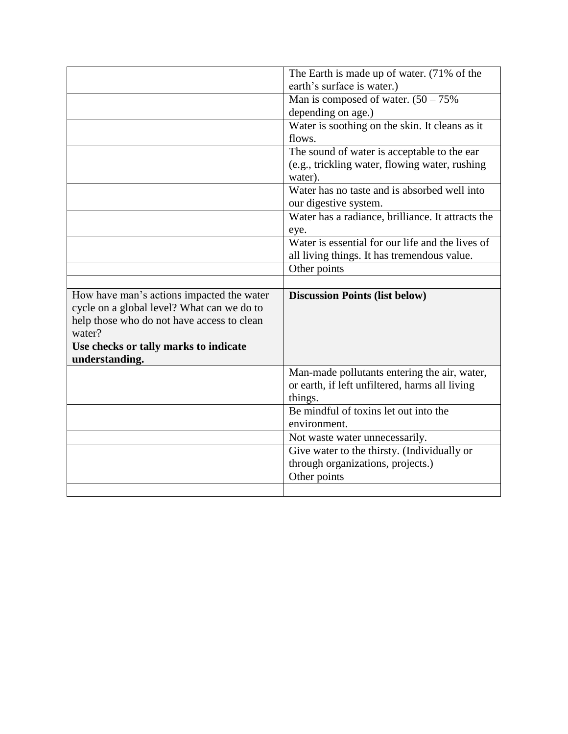|                                            | The Earth is made up of water. (71% of the                            |
|--------------------------------------------|-----------------------------------------------------------------------|
|                                            | earth's surface is water.)                                            |
|                                            | Man is composed of water. $(50 - 75\%)$                               |
|                                            | depending on age.)                                                    |
|                                            | Water is soothing on the skin. It cleans as it                        |
|                                            | flows.                                                                |
|                                            | The sound of water is acceptable to the ear                           |
|                                            | (e.g., trickling water, flowing water, rushing<br>water).             |
|                                            | Water has no taste and is absorbed well into<br>our digestive system. |
|                                            | Water has a radiance, brilliance. It attracts the<br>eye.             |
|                                            | Water is essential for our life and the lives of                      |
|                                            | all living things. It has tremendous value.                           |
|                                            | Other points                                                          |
|                                            |                                                                       |
|                                            |                                                                       |
| How have man's actions impacted the water  | <b>Discussion Points (list below)</b>                                 |
| cycle on a global level? What can we do to |                                                                       |
| help those who do not have access to clean |                                                                       |
| water?                                     |                                                                       |
| Use checks or tally marks to indicate      |                                                                       |
| understanding.                             |                                                                       |
|                                            | Man-made pollutants entering the air, water,                          |
|                                            | or earth, if left unfiltered, harms all living                        |
|                                            | things.                                                               |
|                                            | Be mindful of toxins let out into the                                 |
|                                            | environment.                                                          |
|                                            | Not waste water unnecessarily.                                        |
|                                            | Give water to the thirsty. (Individually or                           |
|                                            | through organizations, projects.)                                     |
|                                            | Other points                                                          |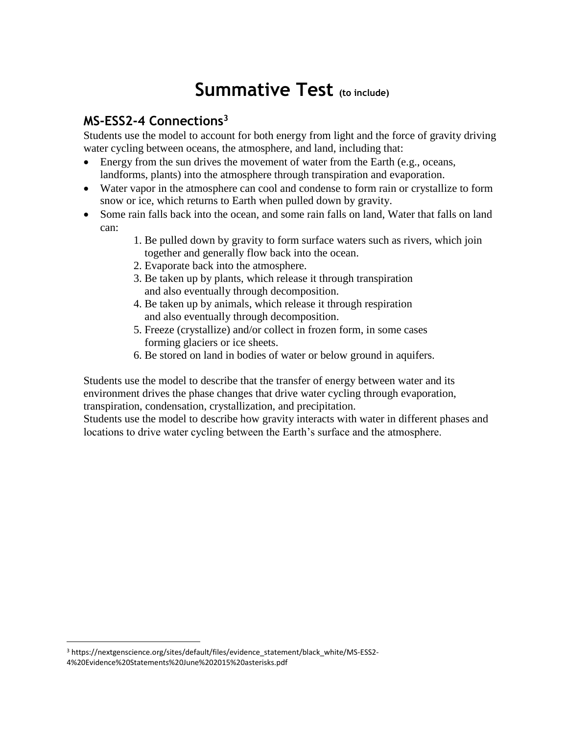# **Summative Test (to include)**

### **MS-ESS2-4 Connections<sup>3</sup>**

Students use the model to account for both energy from light and the force of gravity driving water cycling between oceans, the atmosphere, and land, including that:

- Energy from the sun drives the movement of water from the Earth (e.g., oceans, landforms, plants) into the atmosphere through transpiration and evaporation.
- Water vapor in the atmosphere can cool and condense to form rain or crystallize to form snow or ice, which returns to Earth when pulled down by gravity.
- Some rain falls back into the ocean, and some rain falls on land, Water that falls on land can:
	- 1. Be pulled down by gravity to form surface waters such as rivers, which join together and generally flow back into the ocean.
	- 2. Evaporate back into the atmosphere.
	- 3. Be taken up by plants, which release it through transpiration and also eventually through decomposition.
	- 4. Be taken up by animals, which release it through respiration and also eventually through decomposition.
	- 5. Freeze (crystallize) and/or collect in frozen form, in some cases forming glaciers or ice sheets.
	- 6. Be stored on land in bodies of water or below ground in aquifers.

Students use the model to describe that the transfer of energy between water and its environment drives the phase changes that drive water cycling through evaporation, transpiration, condensation, crystallization, and precipitation.

Students use the model to describe how gravity interacts with water in different phases and locations to drive water cycling between the Earth's surface and the atmosphere.

 $\overline{a}$ 

<sup>3</sup> https://nextgenscience.org/sites/default/files/evidence\_statement/black\_white/MS-ESS2- 4%20Evidence%20Statements%20June%202015%20asterisks.pdf